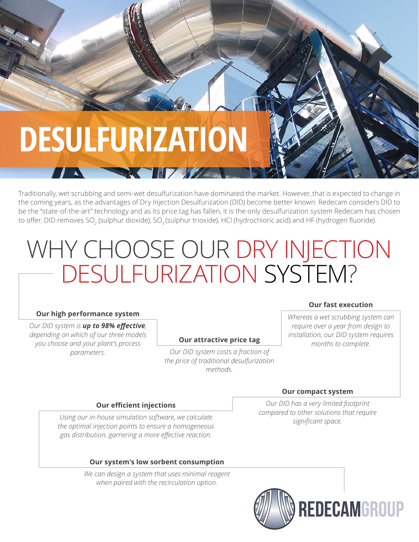

Traditionally, wet scrubbing and semi-wet desulfurization have dominated the market. However, that is expected to change in the coming years, as the advantages of Dry Injection Desulfurization (DID) become better known. Redecam considers DID to be the "state-of-the-art" technology and as its price tag has fallen, it is the only desulfurization system Redecam has chosen to offer. DID removes SO<sub>2</sub> (sulphur dioxide), SO<sub>3</sub> (sulphur trioxide), HCl (hydrochloric acid) and HF (hydrogen fluoride).

**TILE AND STATE** 

## WHY CHOOSE OUR DRY INJECTION DESULFURIZATION SYSTEM?

#### **Our high performance system**

*Our DID system is up to 98% effective, depending on which of our three models you choose and your plant's process parameters.*

#### **Our attractive price tag**

*Our DID system costs a fraction of the price of traditional desulfurization methods.*

#### **Our fast execution**

*Whereas a wet scrubbing system can require over a year from design to installation, our DID system requires months to complete.*

#### **Our efficient injections**

*Using our in-house simulation software, we calculate the optimal injection points to ensure a homogeneous gas distribution, garnering a more effective reaction.*

#### **Our system's low sorbent consumption**

*We can design a system that uses minimal reagent when paired with the recirculation option.*

#### **Our compact system**

*Our DID has a very limited footprint compared to other solutions that require significant space.*

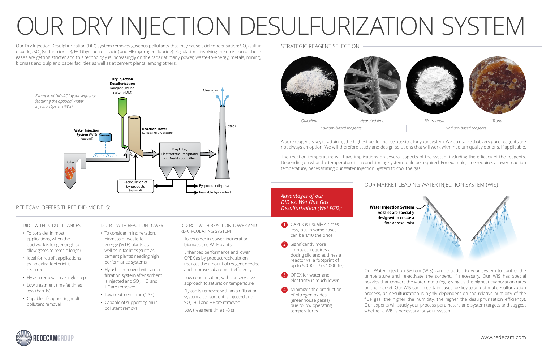Our Dry Injection Desulphurization (DID) system removes gaseous pollutants that may cause acid condensation: SO $_{\rm 2}$  (sulfur dioxide), SO<sub>3</sub> (sulfur trioxide), HCl (hydrochloric acid) and HF (hydrogen fluoride). Regulations involving the emission of these gases are getting stricter and this technology is increasingly on the radar at many power, waste-to-energy, metals, mining, biomass and pulp and paper facilities as well as at cement plants, among others.

> **3** OPEX for water and electricity is much lower

4 Minimizes the production of nitrogen oxides (greenhouse gases) due to low operating temperatures

# OUR DRY INJECTION DESULFURIZATION SYSTEM



2 Significantly more compact: requires a dosing silo and at times a reactor vs. a footprint of up to 5,000 m<sup>2</sup> (54,000 ft<sup>2</sup>)

Our Water Injection System (WIS) can be added to your system to control the temperature and re-activate the sorbent, if necessary. Our WIS has special nozzles that convert the water into a fog, giving us the highest evaporation rates on the market. Our WIS can, in certain cases, be key to an optimal desulfurization process, as desulfurization is highly dependent on the relative humidity of the flue gas (the higher the humidity, the higher the desulphurization efficiency). Our experts will study your process parameters and system targets and suggest whether a WIS is necessary for your system.



#### STRATEGIC REAGENT SELECTION

#### REDECAM OFFERS THREE DID MODELS:

#### DID – WITH IN-DUCT LANCES

- To consider in most applications, when the ductwork is long enough to allow gases to remain longer
- Ideal for retrofit applications as no extra-footprint is required
- Fly ash removal in a single step
- Low treatment time (at times less than 1s)
- Capable of supporting multipollutant removal

#### DID-R – WITH REACTION TOWER

- To consider in incineration, biomass or waste-toenergy (WTE) plants as well as in facilities (such as cement plants) needing high performance systems
- Fly ash is removed with an air filtration system after sorbent is injected and SO<sub>v</sub>, HCl and HF are removed
- Low treatment time (1-3 s)
- Capable of supporting multipollutant removal

#### DID-RC – WITH REACTION TOWER AND RE-CIRCULATING SYSTEM

- To consider in power, incineration, biomass and WTE plants
- Enhanced performance and lower OPEX as by-product recirculation reduces the amount of reagent needed and improves abatement efficiency
- Low condensation, with conservative approach to saturation temperature
- Fly ash is removed with an air filtration system after sorbent is injected and SO<sub>v</sub>, HCl and HF are removed
- Low treatment time (1-3 s)